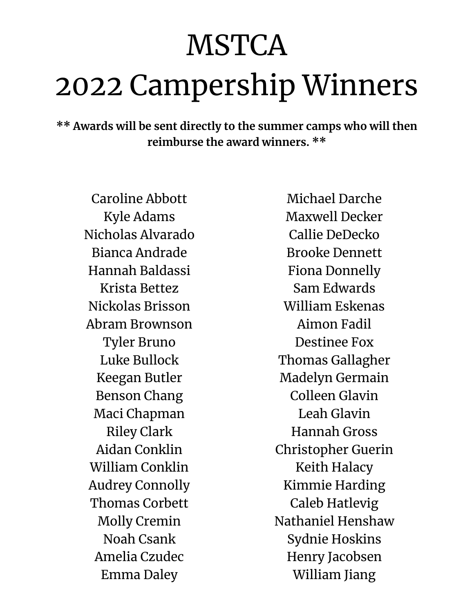## **MSTCA** 2022 Campership Winners

**\*\* Awards will be sent directly to the summer camps who will then reimburse the award winners. \*\***

Caroline Abbott Kyle Adams Nicholas Alvarado Bianca Andrade Hannah Baldassi Krista Bettez Nickolas Brisson Abram Brownson Tyler Bruno Luke Bullock Keegan Butler Benson Chang Maci Chapman Riley Clark Aidan Conklin William Conklin Audrey Connolly Thomas Corbett Molly Cremin Noah Csank Amelia Czudec Emma Daley

Michael Darche Maxwell Decker Callie DeDecko Brooke Dennett Fiona Donnelly Sam Edwards William Eskenas Aimon Fadil Destinee Fox Thomas Gallagher Madelyn Germain Colleen Glavin Leah Glavin Hannah Gross Christopher Guerin Keith Halacy Kimmie Harding Caleb Hatlevig Nathaniel Henshaw Sydnie Hoskins Henry Jacobsen William Jiang